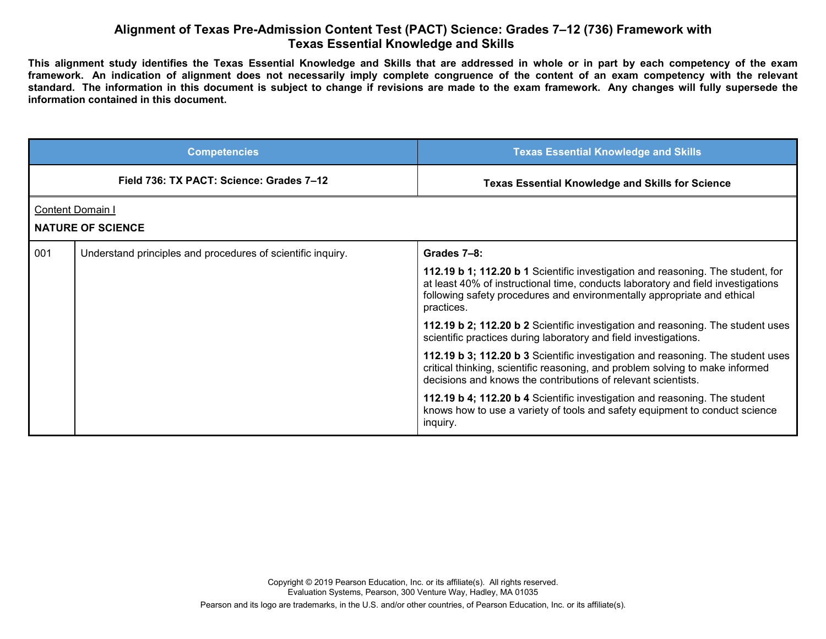## **Alignment of Texas Pre-Admission Content Test (PACT) Science: Grades 7–12 (736) Framework with Texas Essential Knowledge and Skills**

**This alignment study identifies the Texas Essential Knowledge and Skills that are addressed in whole or in part by each competency of the exam framework. An indication of alignment does not necessarily imply complete congruence of the content of an exam competency with the relevant standard. The information in this document is subject to change if revisions are made to the exam framework. Any changes will fully supersede the information contained in this document.**

|     | <b>Competencies</b>                                         | <b>Texas Essential Knowledge and Skills</b>                                                                                                                                                                                                                  |
|-----|-------------------------------------------------------------|--------------------------------------------------------------------------------------------------------------------------------------------------------------------------------------------------------------------------------------------------------------|
|     | Field 736: TX PACT: Science: Grades 7-12                    | <b>Texas Essential Knowledge and Skills for Science</b>                                                                                                                                                                                                      |
|     | <b>Content Domain I</b><br><b>NATURE OF SCIENCE</b>         |                                                                                                                                                                                                                                                              |
| 001 | Understand principles and procedures of scientific inquiry. | Grades 7-8:                                                                                                                                                                                                                                                  |
|     |                                                             | 112.19 b 1; 112.20 b 1 Scientific investigation and reasoning. The student, for<br>at least 40% of instructional time, conducts laboratory and field investigations<br>following safety procedures and environmentally appropriate and ethical<br>practices. |
|     |                                                             | 112.19 b 2; 112.20 b 2 Scientific investigation and reasoning. The student uses<br>scientific practices during laboratory and field investigations.                                                                                                          |
|     |                                                             | 112.19 b 3; 112.20 b 3 Scientific investigation and reasoning. The student uses<br>critical thinking, scientific reasoning, and problem solving to make informed<br>decisions and knows the contributions of relevant scientists.                            |
|     |                                                             | 112.19 b 4; 112.20 b 4 Scientific investigation and reasoning. The student<br>knows how to use a variety of tools and safety equipment to conduct science<br>inquiry.                                                                                        |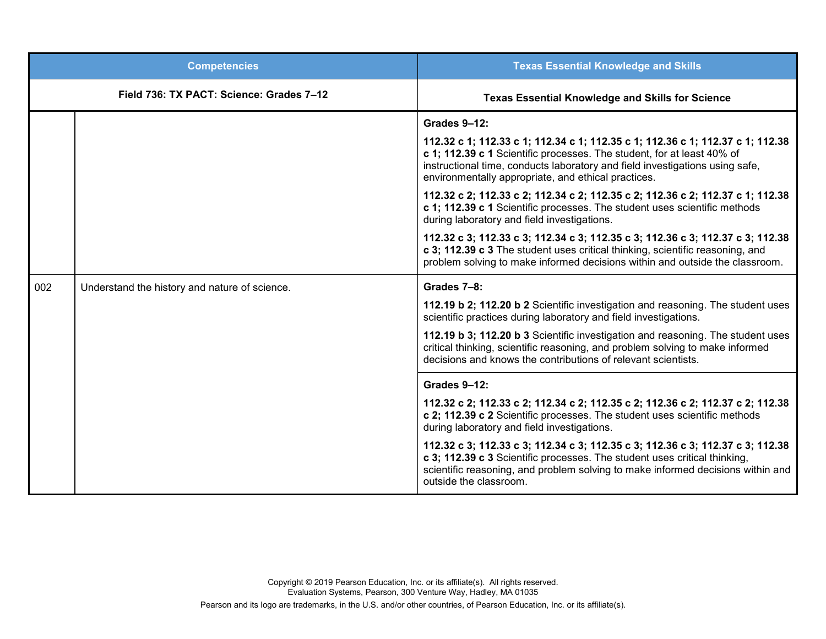| <b>Competencies</b> |                                               | <b>Texas Essential Knowledge and Skills</b>                                                                                                                                                                                                                                                     |
|---------------------|-----------------------------------------------|-------------------------------------------------------------------------------------------------------------------------------------------------------------------------------------------------------------------------------------------------------------------------------------------------|
|                     | Field 736: TX PACT: Science: Grades 7-12      | <b>Texas Essential Knowledge and Skills for Science</b>                                                                                                                                                                                                                                         |
|                     |                                               | Grades 9-12:                                                                                                                                                                                                                                                                                    |
|                     |                                               | 112.32 c 1; 112.33 c 1; 112.34 c 1; 112.35 c 1; 112.36 c 1; 112.37 c 1; 112.38<br>c 1; 112.39 c 1 Scientific processes. The student, for at least 40% of<br>instructional time, conducts laboratory and field investigations using safe,<br>environmentally appropriate, and ethical practices. |
|                     |                                               | 112.32 c 2; 112.33 c 2; 112.34 c 2; 112.35 c 2; 112.36 c 2; 112.37 c 1; 112.38<br>c 1; 112.39 c 1 Scientific processes. The student uses scientific methods<br>during laboratory and field investigations.                                                                                      |
|                     |                                               | 112.32 c 3; 112.33 c 3; 112.34 c 3; 112.35 c 3; 112.36 c 3; 112.37 c 3; 112.38<br>c 3; 112.39 c 3 The student uses critical thinking, scientific reasoning, and<br>problem solving to make informed decisions within and outside the classroom.                                                 |
| 002                 | Understand the history and nature of science. | Grades 7-8:                                                                                                                                                                                                                                                                                     |
|                     |                                               | 112.19 b 2; 112.20 b 2 Scientific investigation and reasoning. The student uses<br>scientific practices during laboratory and field investigations.                                                                                                                                             |
|                     |                                               | 112.19 b 3; 112.20 b 3 Scientific investigation and reasoning. The student uses<br>critical thinking, scientific reasoning, and problem solving to make informed<br>decisions and knows the contributions of relevant scientists.                                                               |
|                     |                                               | Grades 9-12:                                                                                                                                                                                                                                                                                    |
|                     |                                               | 112.32 c 2; 112.33 c 2; 112.34 c 2; 112.35 c 2; 112.36 c 2; 112.37 c 2; 112.38<br>c 2; 112.39 c 2 Scientific processes. The student uses scientific methods<br>during laboratory and field investigations.                                                                                      |
|                     |                                               | 112.32 c 3; 112.33 c 3; 112.34 c 3; 112.35 c 3; 112.36 c 3; 112.37 c 3; 112.38<br>c 3; 112.39 c 3 Scientific processes. The student uses critical thinking,<br>scientific reasoning, and problem solving to make informed decisions within and<br>outside the classroom.                        |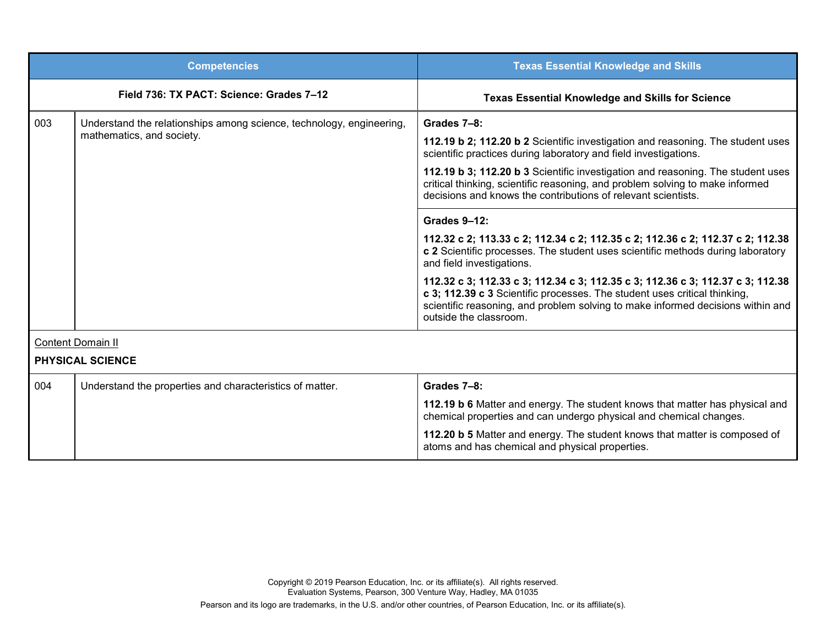|                                                                                                          | <b>Competencies</b>                                                                                                                                                                                                               | <b>Texas Essential Knowledge and Skills</b>                                                                                                                                                                                                                              |
|----------------------------------------------------------------------------------------------------------|-----------------------------------------------------------------------------------------------------------------------------------------------------------------------------------------------------------------------------------|--------------------------------------------------------------------------------------------------------------------------------------------------------------------------------------------------------------------------------------------------------------------------|
|                                                                                                          | Field 736: TX PACT: Science: Grades 7-12                                                                                                                                                                                          | <b>Texas Essential Knowledge and Skills for Science</b>                                                                                                                                                                                                                  |
| 003<br>Understand the relationships among science, technology, engineering,<br>mathematics, and society. |                                                                                                                                                                                                                                   | Grades 7-8:                                                                                                                                                                                                                                                              |
|                                                                                                          |                                                                                                                                                                                                                                   | 112.19 b 2; 112.20 b 2 Scientific investigation and reasoning. The student uses<br>scientific practices during laboratory and field investigations.                                                                                                                      |
|                                                                                                          | 112.19 b 3; 112.20 b 3 Scientific investigation and reasoning. The student uses<br>critical thinking, scientific reasoning, and problem solving to make informed<br>decisions and knows the contributions of relevant scientists. |                                                                                                                                                                                                                                                                          |
|                                                                                                          |                                                                                                                                                                                                                                   | <b>Grades 9-12:</b>                                                                                                                                                                                                                                                      |
|                                                                                                          |                                                                                                                                                                                                                                   | 112.32 c 2; 113.33 c 2; 112.34 c 2; 112.35 c 2; 112.36 c 2; 112.37 c 2; 112.38<br>c 2 Scientific processes. The student uses scientific methods during laboratory<br>and field investigations.                                                                           |
|                                                                                                          |                                                                                                                                                                                                                                   | 112.32 c 3; 112.33 c 3; 112.34 c 3; 112.35 c 3; 112.36 c 3; 112.37 c 3; 112.38<br>c 3; 112.39 c 3 Scientific processes. The student uses critical thinking,<br>scientific reasoning, and problem solving to make informed decisions within and<br>outside the classroom. |
|                                                                                                          | <b>Content Domain II</b>                                                                                                                                                                                                          |                                                                                                                                                                                                                                                                          |
|                                                                                                          | <b>PHYSICAL SCIENCE</b>                                                                                                                                                                                                           |                                                                                                                                                                                                                                                                          |
| 004                                                                                                      | Understand the properties and characteristics of matter.                                                                                                                                                                          | Grades 7-8:                                                                                                                                                                                                                                                              |
|                                                                                                          |                                                                                                                                                                                                                                   | 112.19 b 6 Matter and energy. The student knows that matter has physical and<br>chemical properties and can undergo physical and chemical changes.                                                                                                                       |
|                                                                                                          |                                                                                                                                                                                                                                   | 112.20 b 5 Matter and energy. The student knows that matter is composed of<br>atoms and has chemical and physical properties.                                                                                                                                            |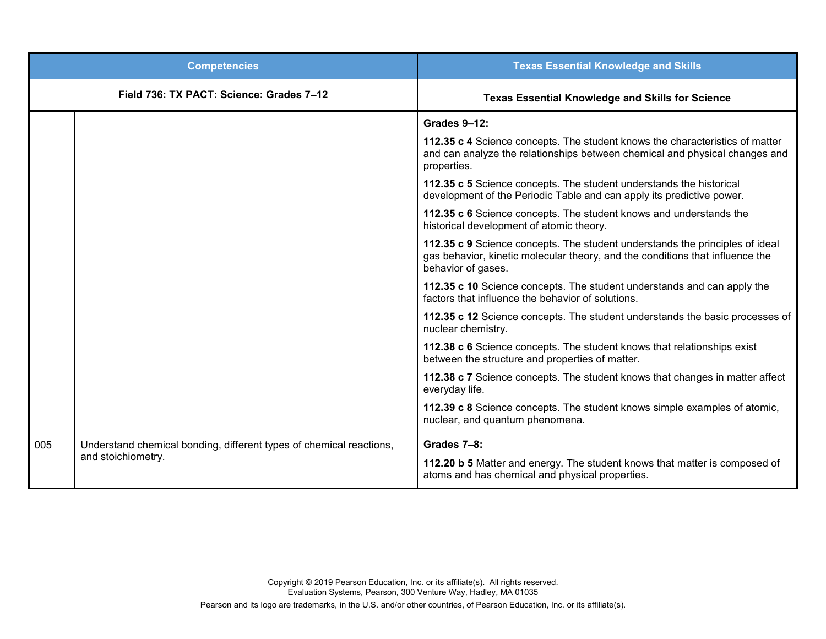|     | <b>Competencies</b>                                                                       | <b>Texas Essential Knowledge and Skills</b>                                                                                                                                         |
|-----|-------------------------------------------------------------------------------------------|-------------------------------------------------------------------------------------------------------------------------------------------------------------------------------------|
|     | Field 736: TX PACT: Science: Grades 7-12                                                  | <b>Texas Essential Knowledge and Skills for Science</b>                                                                                                                             |
|     |                                                                                           | Grades 9-12:                                                                                                                                                                        |
|     |                                                                                           | 112.35 c 4 Science concepts. The student knows the characteristics of matter<br>and can analyze the relationships between chemical and physical changes and<br>properties.          |
|     |                                                                                           | 112.35 c 5 Science concepts. The student understands the historical<br>development of the Periodic Table and can apply its predictive power.                                        |
|     |                                                                                           | 112.35 c 6 Science concepts. The student knows and understands the<br>historical development of atomic theory.                                                                      |
|     |                                                                                           | 112.35 c 9 Science concepts. The student understands the principles of ideal<br>gas behavior, kinetic molecular theory, and the conditions that influence the<br>behavior of gases. |
|     |                                                                                           | 112.35 c 10 Science concepts. The student understands and can apply the<br>factors that influence the behavior of solutions.                                                        |
|     |                                                                                           | 112.35 c 12 Science concepts. The student understands the basic processes of<br>nuclear chemistry.                                                                                  |
|     |                                                                                           | 112.38 c 6 Science concepts. The student knows that relationships exist<br>between the structure and properties of matter.                                                          |
|     |                                                                                           | 112.38 c 7 Science concepts. The student knows that changes in matter affect<br>everyday life.                                                                                      |
|     |                                                                                           | 112.39 c 8 Science concepts. The student knows simple examples of atomic,<br>nuclear, and quantum phenomena.                                                                        |
| 005 | Understand chemical bonding, different types of chemical reactions,<br>and stoichiometry. | Grades 7-8:                                                                                                                                                                         |
|     |                                                                                           | 112.20 b 5 Matter and energy. The student knows that matter is composed of<br>atoms and has chemical and physical properties.                                                       |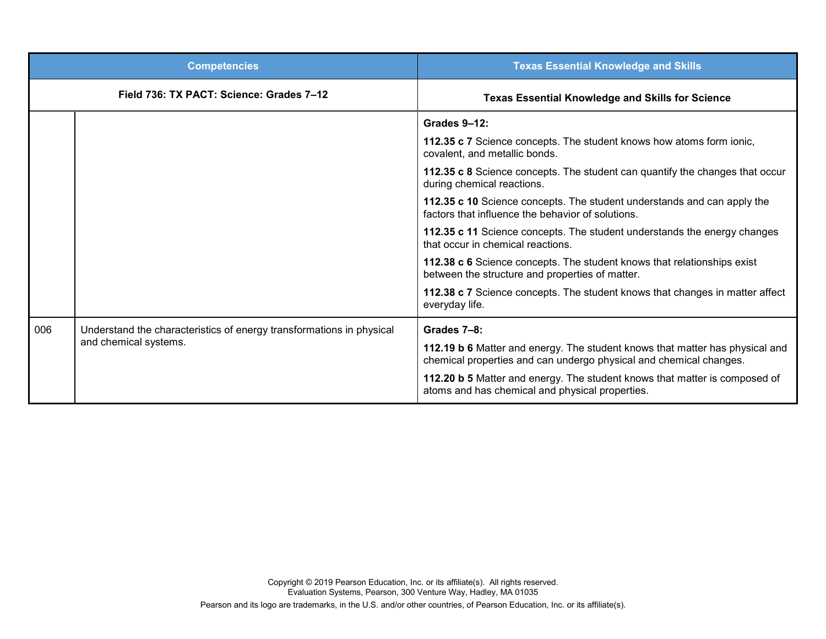|     | <b>Competencies</b>                                                  | <b>Texas Essential Knowledge and Skills</b>                                                                                                        |
|-----|----------------------------------------------------------------------|----------------------------------------------------------------------------------------------------------------------------------------------------|
|     | Field 736: TX PACT: Science: Grades 7-12                             | <b>Texas Essential Knowledge and Skills for Science</b>                                                                                            |
|     |                                                                      | Grades 9-12:                                                                                                                                       |
|     |                                                                      | 112.35 c 7 Science concepts. The student knows how atoms form ionic,<br>covalent, and metallic bonds.                                              |
|     |                                                                      | 112.35 c 8 Science concepts. The student can quantify the changes that occur<br>during chemical reactions.                                         |
|     |                                                                      | 112.35 c 10 Science concepts. The student understands and can apply the<br>factors that influence the behavior of solutions.                       |
|     |                                                                      | 112.35 c 11 Science concepts. The student understands the energy changes<br>that occur in chemical reactions.                                      |
|     |                                                                      | 112.38 c 6 Science concepts. The student knows that relationships exist<br>between the structure and properties of matter.                         |
|     |                                                                      | 112.38 c 7 Science concepts. The student knows that changes in matter affect<br>everyday life.                                                     |
| 006 | Understand the characteristics of energy transformations in physical | Grades 7-8:                                                                                                                                        |
|     | and chemical systems.                                                | 112.19 b 6 Matter and energy. The student knows that matter has physical and<br>chemical properties and can undergo physical and chemical changes. |
|     |                                                                      | 112.20 b 5 Matter and energy. The student knows that matter is composed of<br>atoms and has chemical and physical properties.                      |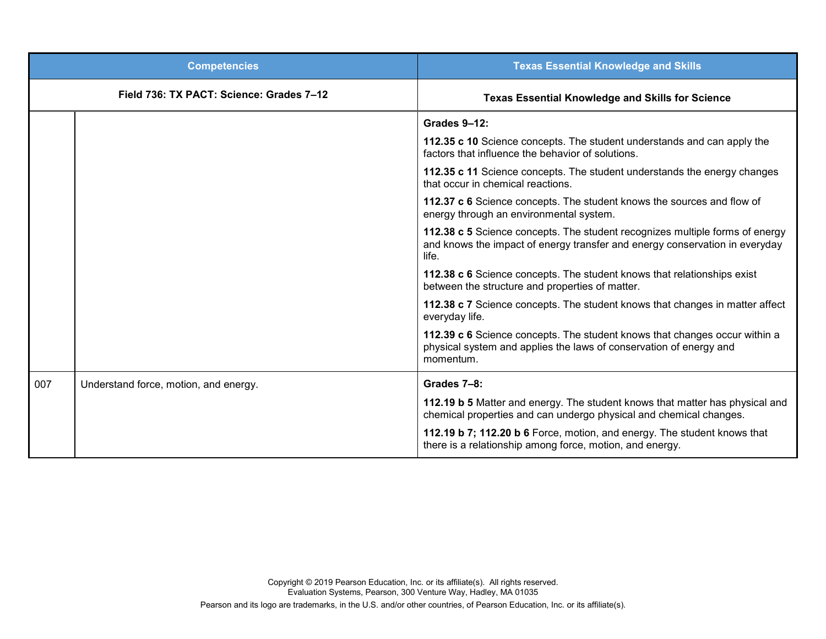|     | <b>Competencies</b>                      | <b>Texas Essential Knowledge and Skills</b>                                                                                                                          |
|-----|------------------------------------------|----------------------------------------------------------------------------------------------------------------------------------------------------------------------|
|     | Field 736: TX PACT: Science: Grades 7-12 | <b>Texas Essential Knowledge and Skills for Science</b>                                                                                                              |
|     |                                          | <b>Grades 9-12:</b>                                                                                                                                                  |
|     |                                          | 112.35 c 10 Science concepts. The student understands and can apply the<br>factors that influence the behavior of solutions.                                         |
|     |                                          | 112.35 c 11 Science concepts. The student understands the energy changes<br>that occur in chemical reactions.                                                        |
|     |                                          | 112.37 c 6 Science concepts. The student knows the sources and flow of<br>energy through an environmental system.                                                    |
|     |                                          | 112.38 c 5 Science concepts. The student recognizes multiple forms of energy<br>and knows the impact of energy transfer and energy conservation in everyday<br>life. |
|     |                                          | 112.38 c 6 Science concepts. The student knows that relationships exist<br>between the structure and properties of matter.                                           |
|     |                                          | 112.38 c 7 Science concepts. The student knows that changes in matter affect<br>everyday life.                                                                       |
|     |                                          | 112.39 c 6 Science concepts. The student knows that changes occur within a<br>physical system and applies the laws of conservation of energy and<br>momentum.        |
| 007 | Understand force, motion, and energy.    | Grades 7-8:                                                                                                                                                          |
|     |                                          | 112.19 b 5 Matter and energy. The student knows that matter has physical and<br>chemical properties and can undergo physical and chemical changes.                   |
|     |                                          | 112.19 b 7; 112.20 b 6 Force, motion, and energy. The student knows that<br>there is a relationship among force, motion, and energy.                                 |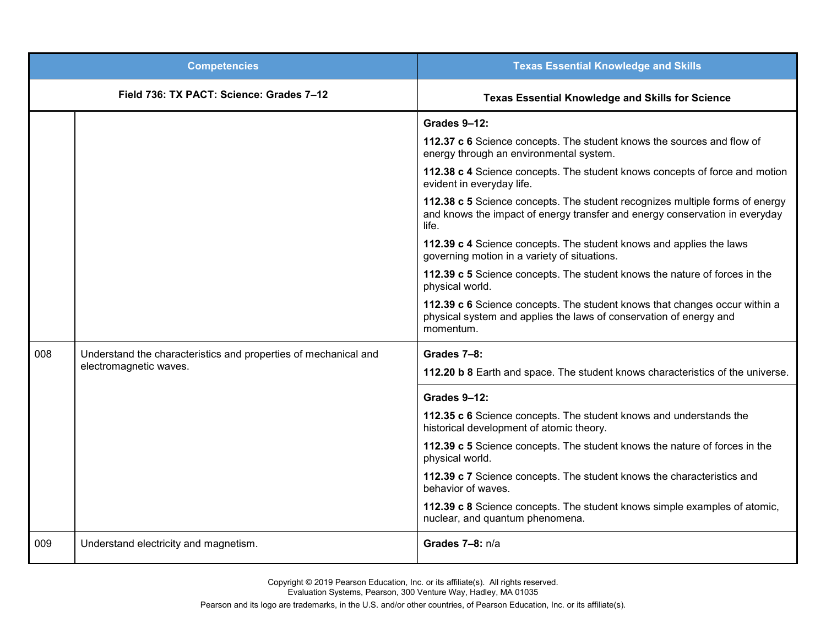|     | <b>Competencies</b>                                             | <b>Texas Essential Knowledge and Skills</b>                                                                                                                          |
|-----|-----------------------------------------------------------------|----------------------------------------------------------------------------------------------------------------------------------------------------------------------|
|     | Field 736: TX PACT: Science: Grades 7-12                        | <b>Texas Essential Knowledge and Skills for Science</b>                                                                                                              |
|     |                                                                 | <b>Grades 9-12:</b>                                                                                                                                                  |
|     |                                                                 | 112.37 c 6 Science concepts. The student knows the sources and flow of<br>energy through an environmental system.                                                    |
|     |                                                                 | 112.38 c 4 Science concepts. The student knows concepts of force and motion<br>evident in everyday life.                                                             |
|     |                                                                 | 112.38 c 5 Science concepts. The student recognizes multiple forms of energy<br>and knows the impact of energy transfer and energy conservation in everyday<br>life. |
|     |                                                                 | 112.39 c 4 Science concepts. The student knows and applies the laws<br>governing motion in a variety of situations.                                                  |
|     |                                                                 | 112.39 c 5 Science concepts. The student knows the nature of forces in the<br>physical world.                                                                        |
|     |                                                                 | 112.39 c 6 Science concepts. The student knows that changes occur within a<br>physical system and applies the laws of conservation of energy and<br>momentum.        |
| 008 | Understand the characteristics and properties of mechanical and | Grades 7-8:                                                                                                                                                          |
|     | electromagnetic waves.                                          | 112.20 b 8 Earth and space. The student knows characteristics of the universe.                                                                                       |
|     |                                                                 | <b>Grades 9-12:</b>                                                                                                                                                  |
|     |                                                                 | 112.35 c 6 Science concepts. The student knows and understands the<br>historical development of atomic theory.                                                       |
|     |                                                                 | 112.39 c 5 Science concepts. The student knows the nature of forces in the<br>physical world.                                                                        |
|     |                                                                 | 112.39 c 7 Science concepts. The student knows the characteristics and<br>behavior of waves.                                                                         |
|     |                                                                 | 112.39 c 8 Science concepts. The student knows simple examples of atomic,<br>nuclear, and quantum phenomena.                                                         |
| 009 | Understand electricity and magnetism.                           | Grades 7-8: n/a                                                                                                                                                      |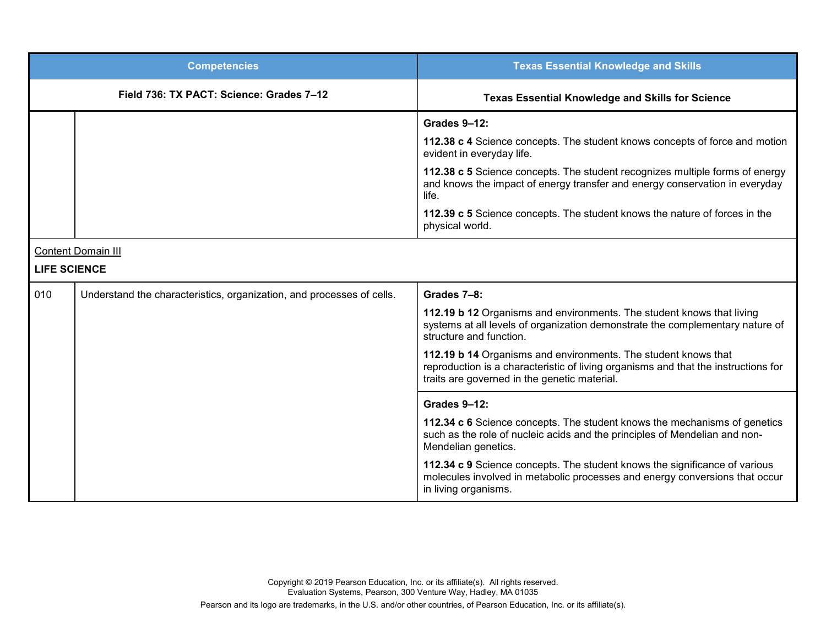|                     | <b>Competencies</b>                                                   | <b>Texas Essential Knowledge and Skills</b>                                                                                                                                                          |
|---------------------|-----------------------------------------------------------------------|------------------------------------------------------------------------------------------------------------------------------------------------------------------------------------------------------|
|                     | Field 736: TX PACT: Science: Grades 7-12                              | <b>Texas Essential Knowledge and Skills for Science</b>                                                                                                                                              |
|                     |                                                                       | Grades 9-12:                                                                                                                                                                                         |
|                     |                                                                       | 112.38 c 4 Science concepts. The student knows concepts of force and motion<br>evident in everyday life.                                                                                             |
|                     |                                                                       | 112.38 c 5 Science concepts. The student recognizes multiple forms of energy<br>and knows the impact of energy transfer and energy conservation in everyday<br>life.                                 |
|                     |                                                                       | 112.39 c 5 Science concepts. The student knows the nature of forces in the<br>physical world.                                                                                                        |
|                     | <b>Content Domain III</b>                                             |                                                                                                                                                                                                      |
| <b>LIFE SCIENCE</b> |                                                                       |                                                                                                                                                                                                      |
| 010                 | Understand the characteristics, organization, and processes of cells. | Grades 7-8:                                                                                                                                                                                          |
|                     |                                                                       | 112.19 b 12 Organisms and environments. The student knows that living<br>systems at all levels of organization demonstrate the complementary nature of<br>structure and function.                    |
|                     |                                                                       | 112.19 b 14 Organisms and environments. The student knows that<br>reproduction is a characteristic of living organisms and that the instructions for<br>traits are governed in the genetic material. |
|                     |                                                                       | Grades 9-12:                                                                                                                                                                                         |
|                     |                                                                       | 112.34 c 6 Science concepts. The student knows the mechanisms of genetics<br>such as the role of nucleic acids and the principles of Mendelian and non-<br>Mendelian genetics.                       |
|                     |                                                                       | 112.34 c 9 Science concepts. The student knows the significance of various<br>molecules involved in metabolic processes and energy conversions that occur<br>in living organisms.                    |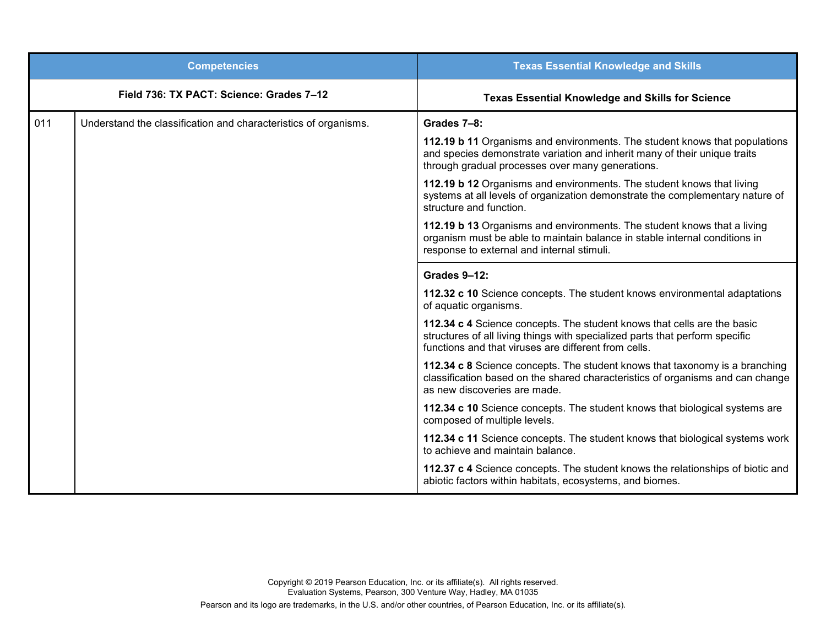|     | <b>Competencies</b>                                             | <b>Texas Essential Knowledge and Skills</b>                                                                                                                                                                     |
|-----|-----------------------------------------------------------------|-----------------------------------------------------------------------------------------------------------------------------------------------------------------------------------------------------------------|
|     | Field 736: TX PACT: Science: Grades 7-12                        | <b>Texas Essential Knowledge and Skills for Science</b>                                                                                                                                                         |
| 011 | Understand the classification and characteristics of organisms. | Grades 7-8:                                                                                                                                                                                                     |
|     |                                                                 | 112.19 b 11 Organisms and environments. The student knows that populations<br>and species demonstrate variation and inherit many of their unique traits<br>through gradual processes over many generations.     |
|     |                                                                 | 112.19 b 12 Organisms and environments. The student knows that living<br>systems at all levels of organization demonstrate the complementary nature of<br>structure and function.                               |
|     |                                                                 | 112.19 b 13 Organisms and environments. The student knows that a living<br>organism must be able to maintain balance in stable internal conditions in<br>response to external and internal stimuli.             |
|     |                                                                 | <b>Grades 9-12:</b>                                                                                                                                                                                             |
|     |                                                                 | 112.32 c 10 Science concepts. The student knows environmental adaptations<br>of aquatic organisms.                                                                                                              |
|     |                                                                 | 112.34 c 4 Science concepts. The student knows that cells are the basic<br>structures of all living things with specialized parts that perform specific<br>functions and that viruses are different from cells. |
|     |                                                                 | 112.34 c 8 Science concepts. The student knows that taxonomy is a branching<br>classification based on the shared characteristics of organisms and can change<br>as new discoveries are made.                   |
|     |                                                                 | 112.34 c 10 Science concepts. The student knows that biological systems are<br>composed of multiple levels.                                                                                                     |
|     |                                                                 | 112.34 c 11 Science concepts. The student knows that biological systems work<br>to achieve and maintain balance.                                                                                                |
|     |                                                                 | 112.37 c 4 Science concepts. The student knows the relationships of biotic and<br>abiotic factors within habitats, ecosystems, and biomes.                                                                      |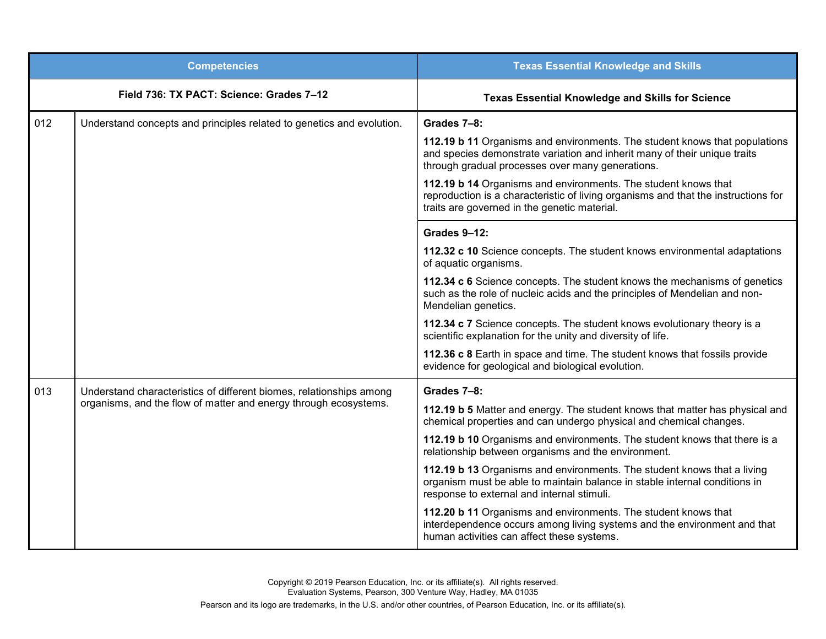|     | <b>Competencies</b>                                                   | <b>Texas Essential Knowledge and Skills</b>                                                                                                                                                                 |
|-----|-----------------------------------------------------------------------|-------------------------------------------------------------------------------------------------------------------------------------------------------------------------------------------------------------|
|     | Field 736: TX PACT: Science: Grades 7-12                              | <b>Texas Essential Knowledge and Skills for Science</b>                                                                                                                                                     |
| 012 | Understand concepts and principles related to genetics and evolution. | Grades 7-8:                                                                                                                                                                                                 |
|     |                                                                       | 112.19 b 11 Organisms and environments. The student knows that populations<br>and species demonstrate variation and inherit many of their unique traits<br>through gradual processes over many generations. |
|     |                                                                       | 112.19 b 14 Organisms and environments. The student knows that<br>reproduction is a characteristic of living organisms and that the instructions for<br>traits are governed in the genetic material.        |
|     |                                                                       | Grades 9-12:                                                                                                                                                                                                |
|     |                                                                       | 112.32 c 10 Science concepts. The student knows environmental adaptations<br>of aquatic organisms.                                                                                                          |
|     |                                                                       | 112.34 c 6 Science concepts. The student knows the mechanisms of genetics<br>such as the role of nucleic acids and the principles of Mendelian and non-<br>Mendelian genetics.                              |
|     |                                                                       | 112.34 c 7 Science concepts. The student knows evolutionary theory is a<br>scientific explanation for the unity and diversity of life.                                                                      |
|     |                                                                       | 112.36 c 8 Earth in space and time. The student knows that fossils provide<br>evidence for geological and biological evolution.                                                                             |
| 013 | Understand characteristics of different biomes, relationships among   | Grades 7-8:                                                                                                                                                                                                 |
|     | organisms, and the flow of matter and energy through ecosystems.      | 112.19 b 5 Matter and energy. The student knows that matter has physical and<br>chemical properties and can undergo physical and chemical changes.                                                          |
|     |                                                                       | 112.19 b 10 Organisms and environments. The student knows that there is a<br>relationship between organisms and the environment.                                                                            |
|     |                                                                       | 112.19 b 13 Organisms and environments. The student knows that a living<br>organism must be able to maintain balance in stable internal conditions in<br>response to external and internal stimuli.         |
|     |                                                                       | 112.20 b 11 Organisms and environments. The student knows that<br>interdependence occurs among living systems and the environment and that<br>human activities can affect these systems.                    |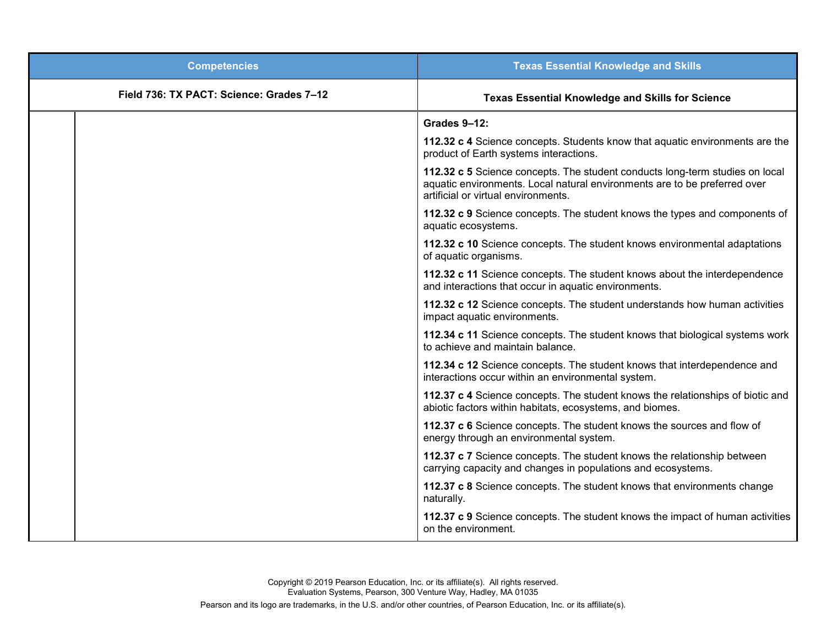| <b>Competencies</b>                      | <b>Texas Essential Knowledge and Skills</b>                                                                                                                                                      |
|------------------------------------------|--------------------------------------------------------------------------------------------------------------------------------------------------------------------------------------------------|
| Field 736: TX PACT: Science: Grades 7-12 | <b>Texas Essential Knowledge and Skills for Science</b>                                                                                                                                          |
|                                          | Grades 9-12:                                                                                                                                                                                     |
|                                          | 112.32 c 4 Science concepts. Students know that aquatic environments are the<br>product of Earth systems interactions.                                                                           |
|                                          | 112.32 c 5 Science concepts. The student conducts long-term studies on local<br>aquatic environments. Local natural environments are to be preferred over<br>artificial or virtual environments. |
|                                          | 112.32 c 9 Science concepts. The student knows the types and components of<br>aquatic ecosystems.                                                                                                |
|                                          | 112.32 c 10 Science concepts. The student knows environmental adaptations<br>of aquatic organisms.                                                                                               |
|                                          | 112.32 c 11 Science concepts. The student knows about the interdependence<br>and interactions that occur in aquatic environments.                                                                |
|                                          | 112.32 c 12 Science concepts. The student understands how human activities<br>impact aquatic environments.                                                                                       |
|                                          | 112.34 c 11 Science concepts. The student knows that biological systems work<br>to achieve and maintain balance.                                                                                 |
|                                          | 112.34 c 12 Science concepts. The student knows that interdependence and<br>interactions occur within an environmental system.                                                                   |
|                                          | 112.37 c 4 Science concepts. The student knows the relationships of biotic and<br>abiotic factors within habitats, ecosystems, and biomes.                                                       |
|                                          | 112.37 c 6 Science concepts. The student knows the sources and flow of<br>energy through an environmental system.                                                                                |
|                                          | 112.37 c 7 Science concepts. The student knows the relationship between<br>carrying capacity and changes in populations and ecosystems.                                                          |
|                                          | 112.37 c 8 Science concepts. The student knows that environments change<br>naturally.                                                                                                            |
|                                          | 112.37 c 9 Science concepts. The student knows the impact of human activities<br>on the environment.                                                                                             |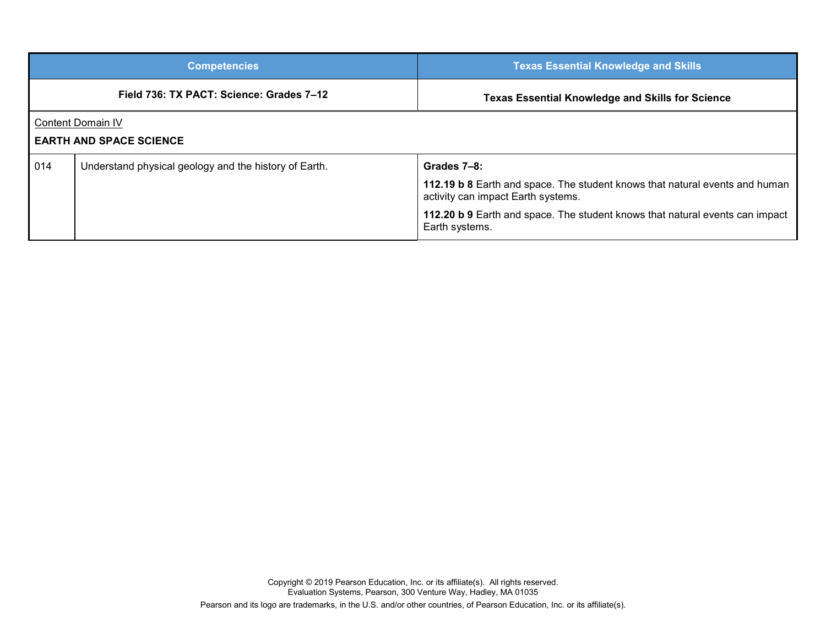|                                                            | <b>Competencies</b>                                   | <b>Texas Essential Knowledge and Skills</b>                                                                                                                                                                                        |
|------------------------------------------------------------|-------------------------------------------------------|------------------------------------------------------------------------------------------------------------------------------------------------------------------------------------------------------------------------------------|
|                                                            | Field 736: TX PACT: Science: Grades 7-12              | <b>Texas Essential Knowledge and Skills for Science</b>                                                                                                                                                                            |
| <b>Content Domain IV</b><br><b>EARTH AND SPACE SCIENCE</b> |                                                       |                                                                                                                                                                                                                                    |
| 014                                                        | Understand physical geology and the history of Earth. | Grades 7-8:<br>112.19 b 8 Earth and space. The student knows that natural events and human<br>activity can impact Earth systems.<br>112.20 b 9 Earth and space. The student knows that natural events can impact<br>Earth systems. |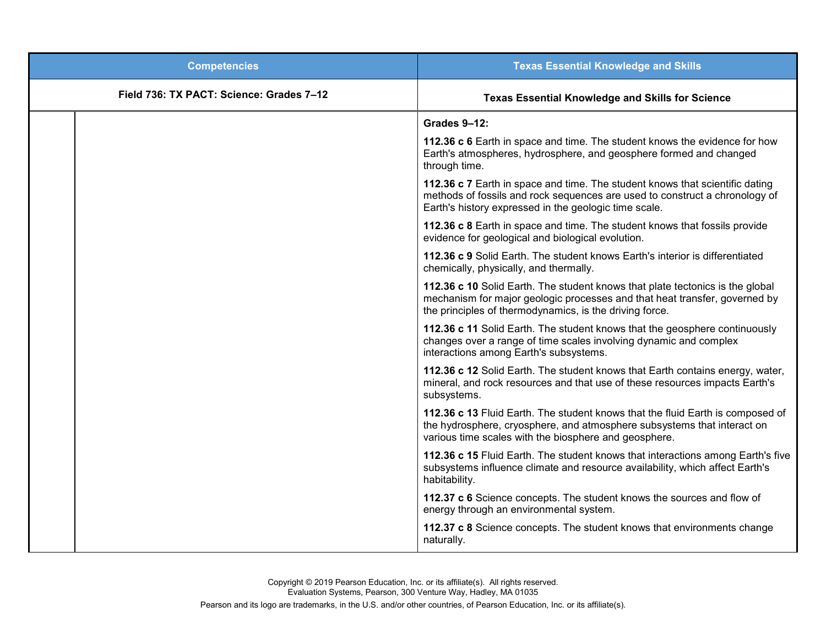| <b>Competencies</b>                      | <b>Texas Essential Knowledge and Skills</b>                                                                                                                                                                            |
|------------------------------------------|------------------------------------------------------------------------------------------------------------------------------------------------------------------------------------------------------------------------|
| Field 736: TX PACT: Science: Grades 7-12 | <b>Texas Essential Knowledge and Skills for Science</b>                                                                                                                                                                |
|                                          | <b>Grades 9-12:</b>                                                                                                                                                                                                    |
|                                          | 112.36 c 6 Earth in space and time. The student knows the evidence for how<br>Earth's atmospheres, hydrosphere, and geosphere formed and changed<br>through time.                                                      |
|                                          | 112.36 c 7 Earth in space and time. The student knows that scientific dating<br>methods of fossils and rock sequences are used to construct a chronology of<br>Earth's history expressed in the geologic time scale.   |
|                                          | 112.36 c 8 Earth in space and time. The student knows that fossils provide<br>evidence for geological and biological evolution.                                                                                        |
|                                          | 112.36 c 9 Solid Earth. The student knows Earth's interior is differentiated<br>chemically, physically, and thermally.                                                                                                 |
|                                          | 112.36 c 10 Solid Earth. The student knows that plate tectonics is the global<br>mechanism for major geologic processes and that heat transfer, governed by<br>the principles of thermodynamics, is the driving force. |
|                                          | 112.36 c 11 Solid Earth. The student knows that the geosphere continuously<br>changes over a range of time scales involving dynamic and complex<br>interactions among Earth's subsystems.                              |
|                                          | 112.36 c 12 Solid Earth. The student knows that Earth contains energy, water,<br>mineral, and rock resources and that use of these resources impacts Earth's<br>subsystems.                                            |
|                                          | 112.36 c 13 Fluid Earth. The student knows that the fluid Earth is composed of<br>the hydrosphere, cryosphere, and atmosphere subsystems that interact on<br>various time scales with the biosphere and geosphere.     |
|                                          | 112.36 c 15 Fluid Earth. The student knows that interactions among Earth's five<br>subsystems influence climate and resource availability, which affect Earth's<br>habitability.                                       |
|                                          | 112.37 c 6 Science concepts. The student knows the sources and flow of<br>energy through an environmental system.                                                                                                      |
|                                          | 112.37 c 8 Science concepts. The student knows that environments change<br>naturally.                                                                                                                                  |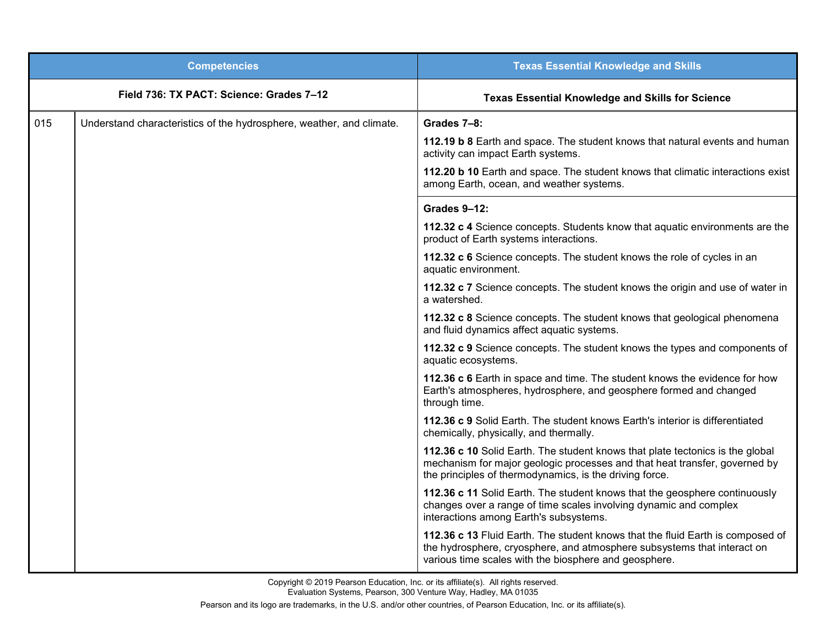|     | <b>Competencies</b>                                                  | <b>Texas Essential Knowledge and Skills</b>                                                                                                                                                                            |
|-----|----------------------------------------------------------------------|------------------------------------------------------------------------------------------------------------------------------------------------------------------------------------------------------------------------|
|     | Field 736: TX PACT: Science: Grades 7-12                             | <b>Texas Essential Knowledge and Skills for Science</b>                                                                                                                                                                |
| 015 | Understand characteristics of the hydrosphere, weather, and climate. | Grades 7-8:                                                                                                                                                                                                            |
|     |                                                                      | 112.19 b 8 Earth and space. The student knows that natural events and human<br>activity can impact Earth systems.                                                                                                      |
|     |                                                                      | 112.20 b 10 Earth and space. The student knows that climatic interactions exist<br>among Earth, ocean, and weather systems.                                                                                            |
|     |                                                                      | Grades 9-12:                                                                                                                                                                                                           |
|     |                                                                      | 112.32 c 4 Science concepts. Students know that aquatic environments are the<br>product of Earth systems interactions.                                                                                                 |
|     |                                                                      | 112.32 c 6 Science concepts. The student knows the role of cycles in an<br>aquatic environment.                                                                                                                        |
|     |                                                                      | 112.32 c 7 Science concepts. The student knows the origin and use of water in<br>a watershed.                                                                                                                          |
|     |                                                                      | 112.32 c 8 Science concepts. The student knows that geological phenomena<br>and fluid dynamics affect aquatic systems.                                                                                                 |
|     |                                                                      | 112.32 c 9 Science concepts. The student knows the types and components of<br>aquatic ecosystems.                                                                                                                      |
|     |                                                                      | 112.36 c 6 Earth in space and time. The student knows the evidence for how<br>Earth's atmospheres, hydrosphere, and geosphere formed and changed<br>through time.                                                      |
|     |                                                                      | 112.36 c 9 Solid Earth. The student knows Earth's interior is differentiated<br>chemically, physically, and thermally.                                                                                                 |
|     |                                                                      | 112.36 c 10 Solid Earth. The student knows that plate tectonics is the global<br>mechanism for major geologic processes and that heat transfer, governed by<br>the principles of thermodynamics, is the driving force. |
|     |                                                                      | 112.36 c 11 Solid Earth. The student knows that the geosphere continuously<br>changes over a range of time scales involving dynamic and complex<br>interactions among Earth's subsystems.                              |
|     |                                                                      | 112.36 c 13 Fluid Earth. The student knows that the fluid Earth is composed of<br>the hydrosphere, cryosphere, and atmosphere subsystems that interact on<br>various time scales with the biosphere and geosphere.     |

Copyright © 2019 Pearson Education, Inc. or its affiliate(s). All rights reserved. Evaluation Systems, Pearson, 300 Venture Way, Hadley, MA 01035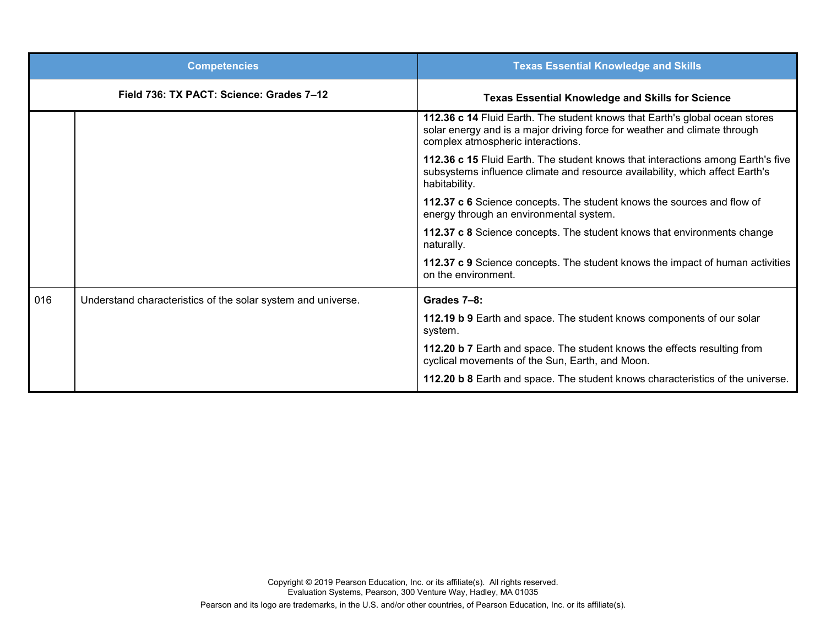|     | <b>Competencies</b>                                          | <b>Texas Essential Knowledge and Skills</b>                                                                                                                                                   |
|-----|--------------------------------------------------------------|-----------------------------------------------------------------------------------------------------------------------------------------------------------------------------------------------|
|     | Field 736: TX PACT: Science: Grades 7-12                     | <b>Texas Essential Knowledge and Skills for Science</b>                                                                                                                                       |
|     |                                                              | 112.36 c 14 Fluid Earth. The student knows that Earth's global ocean stores<br>solar energy and is a major driving force for weather and climate through<br>complex atmospheric interactions. |
|     |                                                              | 112.36 c 15 Fluid Earth. The student knows that interactions among Earth's five<br>subsystems influence climate and resource availability, which affect Earth's<br>habitability.              |
|     |                                                              | 112.37 c 6 Science concepts. The student knows the sources and flow of<br>energy through an environmental system.                                                                             |
|     |                                                              | 112.37 c 8 Science concepts. The student knows that environments change<br>naturally.                                                                                                         |
|     |                                                              | 112.37 c 9 Science concepts. The student knows the impact of human activities<br>on the environment.                                                                                          |
| 016 | Understand characteristics of the solar system and universe. | Grades 7-8:                                                                                                                                                                                   |
|     |                                                              | 112.19 b 9 Earth and space. The student knows components of our solar<br>system.                                                                                                              |
|     |                                                              | 112.20 b 7 Earth and space. The student knows the effects resulting from<br>cyclical movements of the Sun, Earth, and Moon.                                                                   |
|     |                                                              | 112.20 b 8 Earth and space. The student knows characteristics of the universe.                                                                                                                |